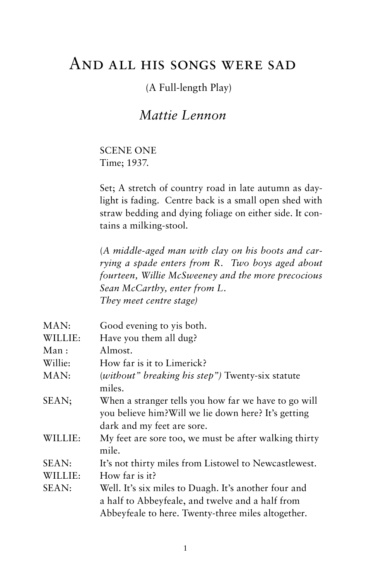# And all his songs were sad

# (A Full-length Play)

# *Mattie Lennon*

SCENE ONE Time; 1937.

Set; A stretch of country road in late autumn as daylight is fading. Centre back is a small open shed with straw bedding and dying foliage on either side. It contains a milking-stool.

(*A middle-aged man with clay on his boots and carrying a spade enters from R. Two boys aged about fourteen, Willie McSweeney and the more precocious Sean McCarthy, enter from L. They meet centre stage)*

| MAN:    | Good evening to yis both.                                                                                                                  |
|---------|--------------------------------------------------------------------------------------------------------------------------------------------|
| WILLIE: | Have you them all dug?                                                                                                                     |
| Man :   | Almost.                                                                                                                                    |
| Willie: | How far is it to Limerick?                                                                                                                 |
| MAN:    | (without" breaking his step") Twenty-six statute<br>miles.                                                                                 |
| SEAN;   | When a stranger tells you how far we have to go will<br>you believe him? Will we lie down here? It's getting<br>dark and my feet are sore. |
| WILLIE: | My feet are sore too, we must be after walking thirty<br>mile.                                                                             |
| SEAN:   | It's not thirty miles from Listowel to Newcastlewest.                                                                                      |
| WILLIE: | How far is it?                                                                                                                             |
| SEAN:   | Well. It's six miles to Duagh. It's another four and<br>a half to Abbeyfeale, and twelve and a half from                                   |
|         | Abbeyfeale to here. Twenty-three miles altogether.                                                                                         |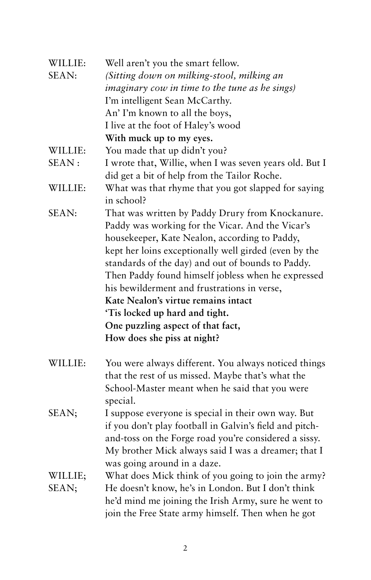| WILLIE:          | Well aren't you the smart fellow.                                                                                                                                                                                                                                                                                                                                                                                                                                                                                     |
|------------------|-----------------------------------------------------------------------------------------------------------------------------------------------------------------------------------------------------------------------------------------------------------------------------------------------------------------------------------------------------------------------------------------------------------------------------------------------------------------------------------------------------------------------|
| SEAN:            | (Sitting down on milking-stool, milking an                                                                                                                                                                                                                                                                                                                                                                                                                                                                            |
|                  | imaginary cow in time to the tune as he sings)                                                                                                                                                                                                                                                                                                                                                                                                                                                                        |
|                  | I'm intelligent Sean McCarthy.                                                                                                                                                                                                                                                                                                                                                                                                                                                                                        |
|                  | An' I'm known to all the boys,                                                                                                                                                                                                                                                                                                                                                                                                                                                                                        |
|                  | I live at the foot of Haley's wood                                                                                                                                                                                                                                                                                                                                                                                                                                                                                    |
|                  | With muck up to my eyes.                                                                                                                                                                                                                                                                                                                                                                                                                                                                                              |
| WILLIE:          | You made that up didn't you?                                                                                                                                                                                                                                                                                                                                                                                                                                                                                          |
| SEAN:            | I wrote that, Willie, when I was seven years old. But I                                                                                                                                                                                                                                                                                                                                                                                                                                                               |
|                  | did get a bit of help from the Tailor Roche.                                                                                                                                                                                                                                                                                                                                                                                                                                                                          |
| WILLIE:          | What was that rhyme that you got slapped for saying<br>in school?                                                                                                                                                                                                                                                                                                                                                                                                                                                     |
| SEAN:            | That was written by Paddy Drury from Knockanure.<br>Paddy was working for the Vicar. And the Vicar's<br>housekeeper, Kate Nealon, according to Paddy,<br>kept her loins exceptionally well girded (even by the<br>standards of the day) and out of bounds to Paddy.<br>Then Paddy found himself jobless when he expressed<br>his bewilderment and frustrations in verse,<br>Kate Nealon's virtue remains intact<br>'Tis locked up hard and tight.<br>One puzzling aspect of that fact,<br>How does she piss at night? |
| WILLIE:          | You were always different. You always noticed things<br>that the rest of us missed. Maybe that's what the<br>School-Master meant when he said that you were<br>special.                                                                                                                                                                                                                                                                                                                                               |
| SEAN;            | I suppose everyone is special in their own way. But<br>if you don't play football in Galvin's field and pitch-<br>and-toss on the Forge road you're considered a sissy.<br>My brother Mick always said I was a dreamer; that I<br>was going around in a daze.                                                                                                                                                                                                                                                         |
| WILLIE;<br>SEAN; | What does Mick think of you going to join the army?<br>He doesn't know, he's in London. But I don't think<br>he'd mind me joining the Irish Army, sure he went to<br>join the Free State army himself. Then when he got                                                                                                                                                                                                                                                                                               |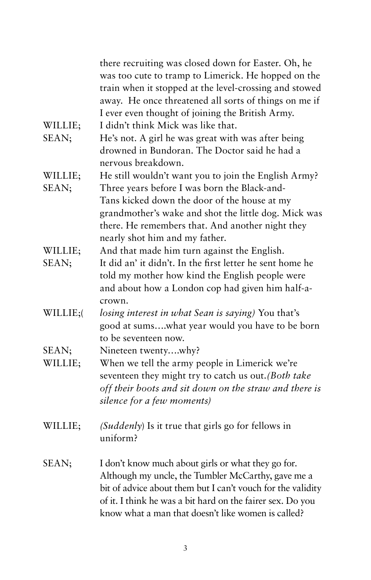|          | there recruiting was closed down for Easter. Oh, he         |
|----------|-------------------------------------------------------------|
|          | was too cute to tramp to Limerick. He hopped on the         |
|          | train when it stopped at the level-crossing and stowed      |
|          | away. He once threatened all sorts of things on me if       |
|          | I ever even thought of joining the British Army.            |
| WILLIE;  | I didn't think Mick was like that.                          |
| SEAN;    | He's not. A girl he was great with was after being          |
|          | drowned in Bundoran. The Doctor said he had a               |
|          | nervous breakdown.                                          |
| WILLIE;  | He still wouldn't want you to join the English Army?        |
| SEAN;    | Three years before I was born the Black-and-                |
|          | Tans kicked down the door of the house at my                |
|          | grandmother's wake and shot the little dog. Mick was        |
|          | there. He remembers that. And another night they            |
|          | nearly shot him and my father.                              |
| WILLIE;  | And that made him turn against the English.                 |
| SEAN;    | It did an' it didn't. In the first letter he sent home he   |
|          | told my mother how kind the English people were             |
|          | and about how a London cop had given him half-a-            |
|          | crown.                                                      |
| WILLIE;( | losing interest in what Sean is saying) You that's          |
|          | good at sumswhat year would you have to be born             |
|          | to be seventeen now.                                        |
| SEAN;    | Nineteen twentywhy?                                         |
| WILLIE;  | When we tell the army people in Limerick we're              |
|          | seventeen they might try to catch us out. (Both take        |
|          | off their boots and sit down on the straw and there is      |
|          | silence for a few moments)                                  |
| WILLIE;  | (Suddenly) Is it true that girls go for fellows in          |
|          | uniform?                                                    |
| SEAN;    | I don't know much about girls or what they go for.          |
|          | Although my uncle, the Tumbler McCarthy, gave me a          |
|          | bit of advice about them but I can't vouch for the validity |
|          | of it. I think he was a bit hard on the fairer sex. Do you  |
|          | know what a man that doesn't like women is called?          |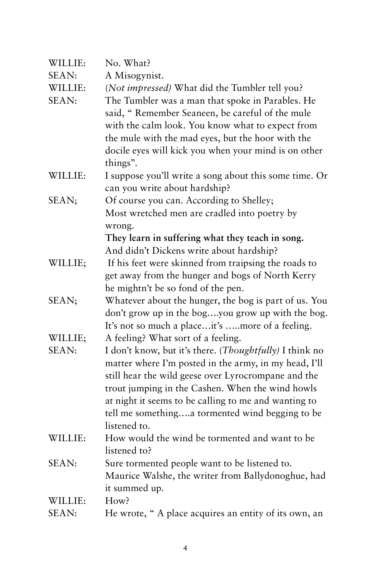| WILLIE:      | No. What?                                                                                            |
|--------------|------------------------------------------------------------------------------------------------------|
| SEAN:        | A Misogynist.                                                                                        |
| WILLIE:      | (Not impressed) What did the Tumbler tell you?                                                       |
| SEAN:        | The Tumbler was a man that spoke in Parables. He<br>said, "Remember Seaneen, be careful of the mule  |
|              | with the calm look. You know what to expect from                                                     |
|              | the mule with the mad eyes, but the hoor with the                                                    |
|              | docile eyes will kick you when your mind is on other<br>things".                                     |
| WILLIE:      | I suppose you'll write a song about this some time. Or                                               |
|              | can you write about hardship?                                                                        |
| SEAN;        | Of course you can. According to Shelley;                                                             |
|              | Most wretched men are cradled into poetry by                                                         |
|              | wrong.                                                                                               |
|              | They learn in suffering what they teach in song.                                                     |
|              | And didn't Dickens write about hardship?                                                             |
| WILLIE;      | If his feet were skinned from traipsing the roads to                                                 |
|              | get away from the hunger and bogs of North Kerry                                                     |
|              | he mightn't be so fond of the pen.                                                                   |
| SEAN;        | Whatever about the hunger, the bog is part of us. You                                                |
|              | don't grow up in the bogyou grow up with the bog.<br>It's not so much a placeit's more of a feeling. |
| WILLIE;      | A feeling? What sort of a feeling.                                                                   |
| <b>SEAN:</b> | I don't know, but it's there. (Thoughtfully) I think no                                              |
|              | matter where I'm posted in the army, in my head, I'll                                                |
|              | still hear the wild geese over Lyrocrompane and the                                                  |
|              | trout jumping in the Cashen. When the wind howls                                                     |
|              | at night it seems to be calling to me and wanting to                                                 |
|              | tell me somethinga tormented wind begging to be                                                      |
|              | listened to.                                                                                         |
| WILLIE:      | How would the wind be tormented and want to be                                                       |
|              | listened to?                                                                                         |
| SEAN:        | Sure tormented people want to be listened to.                                                        |
|              | Maurice Walshe, the writer from Ballydonoghue, had                                                   |
|              | it summed up.                                                                                        |
| WILLIE:      | How?                                                                                                 |
| SEAN:        | He wrote, "A place acquires an entity of its own, an                                                 |
|              |                                                                                                      |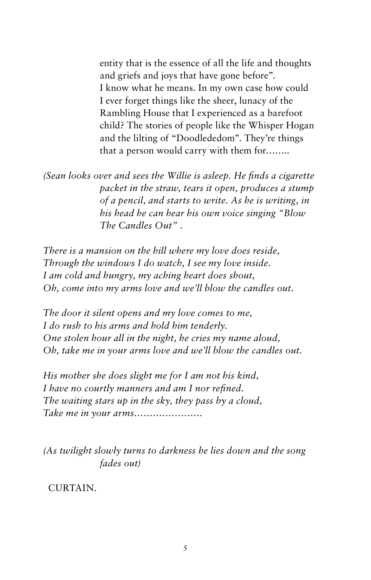entity that is the essence of all the life and thoughts and griefs and joys that have gone before". I know what he means. In my own case how could I ever forget things like the sheer, lunacy of the Rambling House that I experienced as a barefoot child? The stories of people like the Whisper Hogan and the lilting of "Doodlededom". They're things that a person would carry with them for……..

*(Sean looks over and sees the Willie is asleep. He finds a cigarette packet in the straw, tears it open, produces a stump of a pencil, and starts to write. As he is writing, in his head he can hear his own voice singing "Blow The Candles Out"* .

*There is a mansion on the hill where my love does reside, Through the windows I do watch, I see my love inside. I am cold and hungry, my aching heart does shout, Oh, come into my arms love and we'll blow the candles out.*

*The door it silent opens and my love comes to me, I do rush to his arms and hold him tenderly. One stolen hour all in the night, he cries my name aloud, Oh, take me in your arms love and we'll blow the candles out.*

*His mother she does slight me for I am not his kind, I have no courtly manners and am I nor refined. The waiting stars up in the sky, they pass by a cloud, Take me in your arms………………….*

*(As twilight slowly turns to darkness he lies down and the song fades out)*

CURTAIN.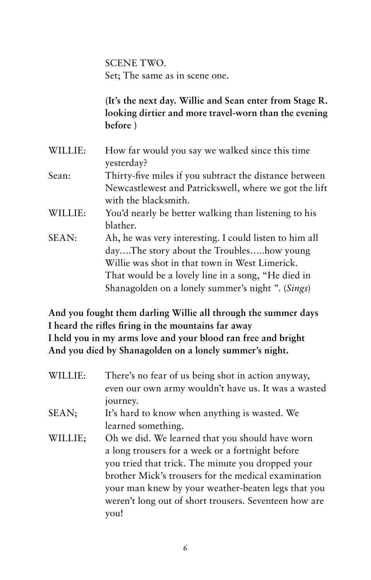SCENE TWO. Set; The same as in scene one.

**(It's the next day. Willie and Sean enter from Stage R. looking dirtier and more travel-worn than the evening before )**

WILLIE: How far would you say we walked since this time yesterday? Sean: Thirty-five miles if you subtract the distance between Newcastlewest and Patrickswell, where we got the lift with the blacksmith. WILLIE: You'd nearly be better walking than listening to his blather. SEAN: Ah, he was very interesting. I could listen to him all day….The story about the Troubles…..how young Willie was shot in that town in West Limerick. That would be a lovely line in a song, "He died in Shanagolden on a lonely summer's night ". (*Sings*)

**And you fought them darling Willie all through the summer days I heard the rifles firing in the mountains far away I held you in my arms love and your blood ran free and bright And you died by Shanagolden on a lonely summer's night.**

| WILLIE: | There's no fear of us being shot in action anyway,<br>even our own army wouldn't have us. It was a wasted<br>journey. |
|---------|-----------------------------------------------------------------------------------------------------------------------|
| SEAN;   | It's hard to know when anything is wasted. We                                                                         |
|         | learned something.                                                                                                    |
| WILLIE; | Oh we did. We learned that you should have worn                                                                       |
|         | a long trousers for a week or a fortnight before                                                                      |
|         | you tried that trick. The minute you dropped your                                                                     |
|         | brother Mick's trousers for the medical examination                                                                   |
|         | your man knew by your weather-beaten legs that you                                                                    |
|         | weren't long out of short trousers. Seventeen how are                                                                 |
|         | vou!                                                                                                                  |
|         |                                                                                                                       |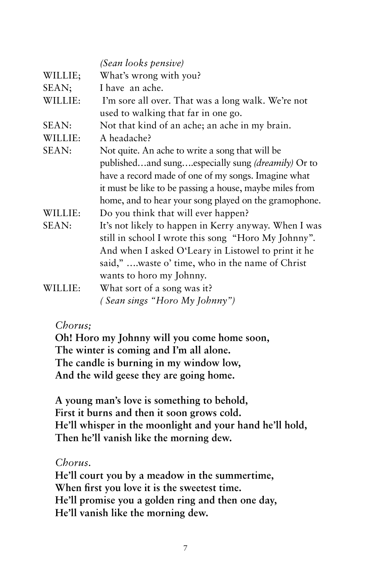|              | (Sean looks pensive)                                     |
|--------------|----------------------------------------------------------|
| WILLIE;      | What's wrong with you?                                   |
| SEAN;        | I have an ache.                                          |
| WILLIE:      | I'm sore all over. That was a long walk. We're not       |
|              | used to walking that far in one go.                      |
| <b>SEAN:</b> | Not that kind of an ache; an ache in my brain.           |
| WILLIE:      | A headache?                                              |
| SEAN:        | Not quite. An ache to write a song that will be          |
|              | publishedand sungespecially sung <i>(dreamily)</i> Or to |
|              | have a record made of one of my songs. Imagine what      |
|              | it must be like to be passing a house, maybe miles from  |
|              | home, and to hear your song played on the gramophone.    |
| WILLIE:      | Do you think that will ever happen?                      |
| SEAN:        | It's not likely to happen in Kerry anyway. When I was    |
|              | still in school I wrote this song "Horo My Johnny".      |
|              | And when I asked O'Leary in Listowel to print it he      |
|              | said," waste o' time, who in the name of Christ          |
|              | wants to horo my Johnny.                                 |
| WILLIE:      | What sort of a song was it?                              |
|              | (Sean sings "Horo My Johnny")                            |

#### *Chorus;*

**Oh! Horo my Johnny will you come home soon, The winter is coming and I'm all alone. The candle is burning in my window low, And the wild geese they are going home.**

**A young man's love is something to behold, First it burns and then it soon grows cold. He'll whisper in the moonlight and your hand he'll hold, Then he'll vanish like the morning dew.**

### *Chorus.*

**He'll court you by a meadow in the summertime, When first you love it is the sweetest time. He'll promise you a golden ring and then one day, He'll vanish like the morning dew.**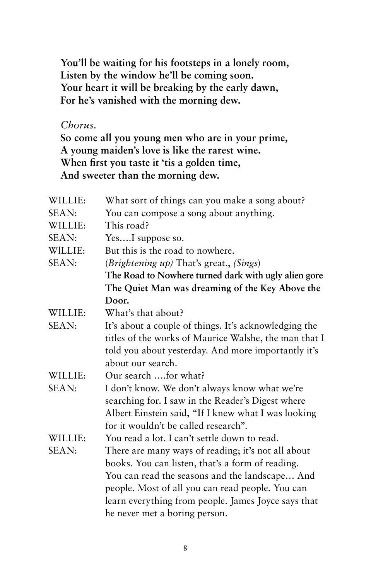**You'll be waiting for his footsteps in a lonely room, Listen by the window he'll be coming soon. Your heart it will be breaking by the early dawn, For he's vanished with the morning dew.**

## *Chorus.*

**So come all you young men who are in your prime, A young maiden's love is like the rarest wine. When first you taste it 'tis a golden time, And sweeter than the morning dew.**

| WILLIE: | What sort of things can you make a song about?        |
|---------|-------------------------------------------------------|
| SEAN:   | You can compose a song about anything.                |
| WILLIE: | This road?                                            |
| SEAN:   | YesI suppose so.                                      |
| WILLIE: | But this is the road to nowhere.                      |
| SEAN:   | (Brightening up) That's great., (Sings)               |
|         | The Road to Nowhere turned dark with ugly alien gore  |
|         | The Quiet Man was dreaming of the Key Above the       |
|         | Door.                                                 |
| WILLIE: | What's that about?                                    |
| SEAN:   | It's about a couple of things. It's acknowledging the |
|         | titles of the works of Maurice Walshe, the man that I |
|         | told you about yesterday. And more importantly it's   |
|         | about our search.                                     |
| WILLIE: | Our search for what?                                  |
| SEAN:   | I don't know. We don't always know what we're         |
|         | searching for. I saw in the Reader's Digest where     |
|         | Albert Einstein said, "If I knew what I was looking   |
|         | for it wouldn't be called research".                  |
| WILLIE: | You read a lot. I can't settle down to read.          |
| SEAN:   | There are many ways of reading; it's not all about    |
|         | books. You can listen, that's a form of reading.      |
|         | You can read the seasons and the landscape And        |
|         | people. Most of all you can read people. You can      |
|         | learn everything from people. James Joyce says that   |
|         | he never met a boring person.                         |
|         |                                                       |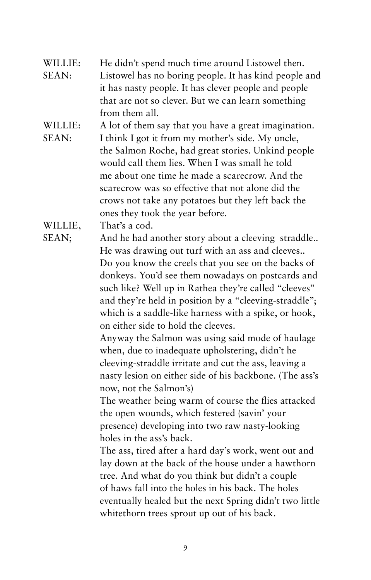- WILLIE: He didn't spend much time around Listowel then. SEAN: Listowel has no boring people. It has kind people and it has nasty people. It has clever people and people that are not so clever. But we can learn something from them all.
- WILLIE: A lot of them say that you have a great imagination. SEAN: I think I got it from my mother's side. My uncle, the Salmon Roche, had great stories. Unkind people would call them lies. When I was small he told me about one time he made a scarecrow. And the scarecrow was so effective that not alone did the crows not take any potatoes but they left back the ones they took the year before.

WILLIE, That's a cod.

SEAN; And he had another story about a cleeving straddle.. He was drawing out turf with an ass and cleeves.. Do you know the creels that you see on the backs of donkeys. You'd see them nowadays on postcards and such like? Well up in Rathea they're called "cleeves" and they're held in position by a "cleeving-straddle"; which is a saddle-like harness with a spike, or hook, on either side to hold the cleeves.

Anyway the Salmon was using said mode of haulage when, due to inadequate upholstering, didn't he cleeving-straddle irritate and cut the ass, leaving a nasty lesion on either side of his backbone. (The ass's now, not the Salmon's)

The weather being warm of course the flies attacked the open wounds, which festered (savin' your presence) developing into two raw nasty-looking holes in the ass's back.

The ass, tired after a hard day's work, went out and lay down at the back of the house under a hawthorn tree. And what do you think but didn't a couple of haws fall into the holes in his back. The holes eventually healed but the next Spring didn't two little whitethorn trees sprout up out of his back.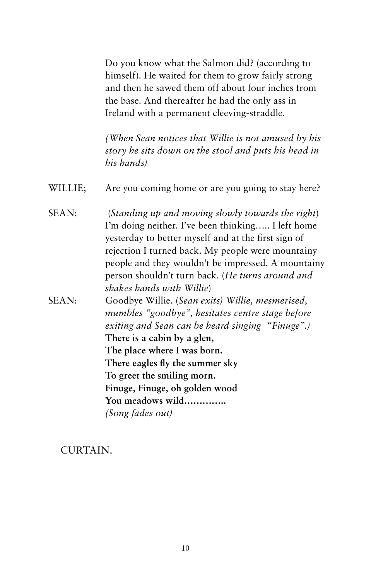Do you know what the Salmon did? (according to himself). He waited for them to grow fairly strong and then he sawed them off about four inches from the base. And thereafter he had the only ass in Ireland with a permanent cleeving-straddle.

*(When Sean notices that Willie is not amused by his story he sits down on the stool and puts his head in his hands)*

- WILLIE; Are you coming home or are you going to stay here?
- SEAN: (*Standing up and moving slowly towards the right*) I'm doing neither. I've been thinking….. I left home yesterday to better myself and at the first sign of rejection I turned back. My people were mountainy people and they wouldn't be impressed. A mountainy person shouldn't turn back. (*He turns around and shakes hands with Willie*)
- SEAN: Goodbye Willie. (*Sean exits) Willie, mesmerised, mumbles "goodbye", hesitates centre stage before exiting and Sean can be heard singing "Finuge".)* **There is a cabin by a glen, The place where I was born. There eagles fly the summer sky To greet the smiling morn. Finuge, Finuge, oh golden wood You meadows wild…………..** *(Song fades out)*

CURTAIN.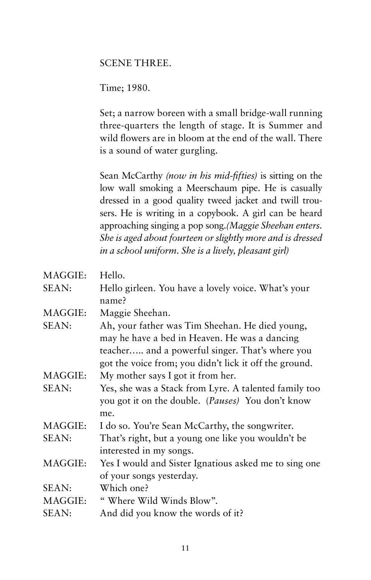#### SCENE THREE.

Time; 1980.

Set; a narrow boreen with a small bridge-wall running three-quarters the length of stage. It is Summer and wild flowers are in bloom at the end of the wall. There is a sound of water gurgling.

Sean McCarthy *(now in his mid-fifties)* is sitting on the low wall smoking a Meerschaum pipe. He is casually dressed in a good quality tweed jacket and twill trousers. He is writing in a copybook. A girl can be heard approaching singing a pop song.*(Maggie Sheehan enters. She is aged about fourteen or slightly more and is dressed in a school uniform. She is a lively, pleasant girl)* 

| MAGGIE: | Hello.                                                     |
|---------|------------------------------------------------------------|
| SEAN:   | Hello girleen. You have a lovely voice. What's your        |
|         | name?                                                      |
| MAGGIE: | Maggie Sheehan.                                            |
| SEAN:   | Ah, your father was Tim Sheehan. He died young,            |
|         | may he have a bed in Heaven. He was a dancing              |
|         | teacher and a powerful singer. That's where you            |
|         | got the voice from; you didn't lick it off the ground.     |
| MAGGIE: | My mother says I got it from her.                          |
| SEAN:   | Yes, she was a Stack from Lyre. A talented family too      |
|         | you got it on the double. ( <i>Pauses</i> ) You don't know |
|         | me.                                                        |
| MAGGIE: | I do so. You're Sean McCarthy, the songwriter.             |
| SEAN:   | That's right, but a young one like you wouldn't be         |
|         | interested in my songs.                                    |
| MAGGIE: | Yes I would and Sister Ignatious asked me to sing one      |
|         | of your songs yesterday.                                   |
| SEAN:   | Which one?                                                 |
| MAGGIE: | " Where Wild Winds Blow".                                  |
| SEAN:   | And did you know the words of it?                          |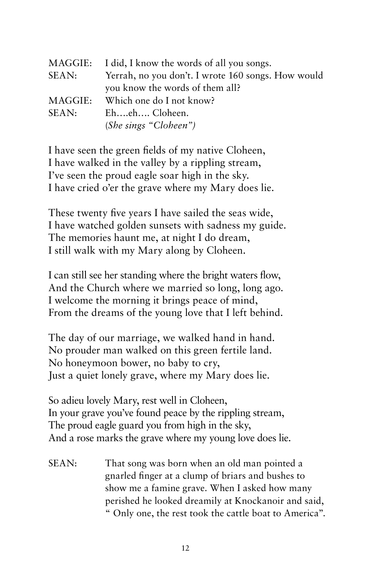| MAGGIE:   | I did, I know the words of all you songs.          |
|-----------|----------------------------------------------------|
| SEAN:     | Yerrah, no you don't. I wrote 160 songs. How would |
|           | you know the words of them all?                    |
| MAGGIE: . | Which one do I not know?                           |
| SEAN:     | Eheh Cloheen.                                      |
|           | (She sings "Cloheen")                              |

I have seen the green fields of my native Cloheen, I have walked in the valley by a rippling stream, I've seen the proud eagle soar high in the sky. I have cried o'er the grave where my Mary does lie.

These twenty five years I have sailed the seas wide, I have watched golden sunsets with sadness my guide. The memories haunt me, at night I do dream, I still walk with my Mary along by Cloheen.

I can still see her standing where the bright waters flow, And the Church where we married so long, long ago. I welcome the morning it brings peace of mind, From the dreams of the young love that I left behind.

The day of our marriage, we walked hand in hand. No prouder man walked on this green fertile land. No honeymoon bower, no baby to cry, Just a quiet lonely grave, where my Mary does lie.

So adieu lovely Mary, rest well in Cloheen, In your grave you've found peace by the rippling stream, The proud eagle guard you from high in the sky, And a rose marks the grave where my young love does lie.

SEAN: That song was born when an old man pointed a gnarled finger at a clump of briars and bushes to show me a famine grave. When I asked how many perished he looked dreamily at Knockanoir and said, " Only one, the rest took the cattle boat to America".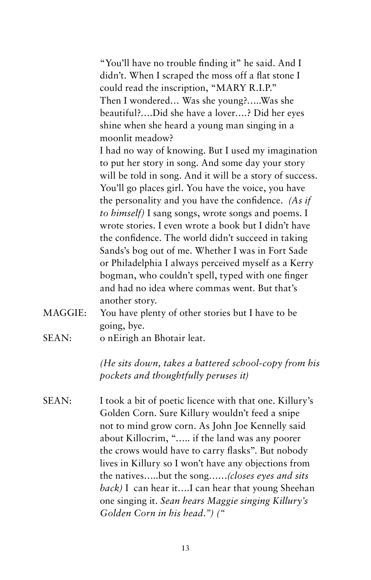"You'll have no trouble finding it" he said. And I didn't. When I scraped the moss off a flat stone I could read the inscription, "MARY R.I.P." Then I wondered… Was she young?…..Was she beautiful?….Did she have a lover….? Did her eyes shine when she heard a young man singing in a moonlit meadow?

I had no way of knowing. But I used my imagination to put her story in song. And some day your story will be told in song. And it will be a story of success. You'll go places girl. You have the voice, you have the personality and you have the confidence. *(As if to himself)* I sang songs, wrote songs and poems. I wrote stories. I even wrote a book but I didn't have the confidence. The world didn't succeed in taking Sands's bog out of me. Whether I was in Fort Sade or Philadelphia I always perceived myself as a Kerry bogman, who couldn't spell, typed with one finger and had no idea where commas went. But that's another story.

- MAGGIE: You have plenty of other stories but I have to be going, bye.
- SEAN: o nEirigh an Bhotair leat.

*(He sits down, takes a battered school-copy from his pockets and thoughtfully peruses it)*

SEAN: I took a bit of poetic licence with that one. Killury's Golden Corn. Sure Killury wouldn't feed a snipe not to mind grow corn. As John Joe Kennelly said about Killocrim, "….. if the land was any poorer the crows would have to carry flasks". But nobody lives in Killury so I won't have any objections from the natives…..but the song……*(closes eyes and sits back)* I can hear it….I can hear that young Sheehan one singing it. *Sean hears Maggie singing Killury's Golden Corn in his head.") ("*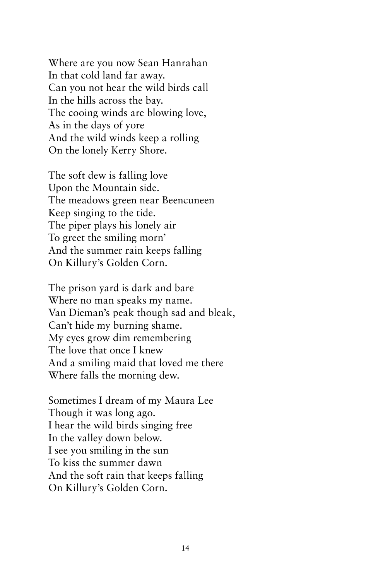Where are you now Sean Hanrahan In that cold land far away. Can you not hear the wild birds call In the hills across the bay. The cooing winds are blowing love, As in the days of yore And the wild winds keep a rolling On the lonely Kerry Shore.

The soft dew is falling love Upon the Mountain side. The meadows green near Beencuneen Keep singing to the tide. The piper plays his lonely air To greet the smiling morn' And the summer rain keeps falling On Killury's Golden Corn.

The prison yard is dark and bare Where no man speaks my name. Van Dieman's peak though sad and bleak, Can't hide my burning shame. My eyes grow dim remembering The love that once I knew And a smiling maid that loved me there Where falls the morning dew.

Sometimes I dream of my Maura Lee Though it was long ago. I hear the wild birds singing free In the valley down below. I see you smiling in the sun To kiss the summer dawn And the soft rain that keeps falling On Killury's Golden Corn.